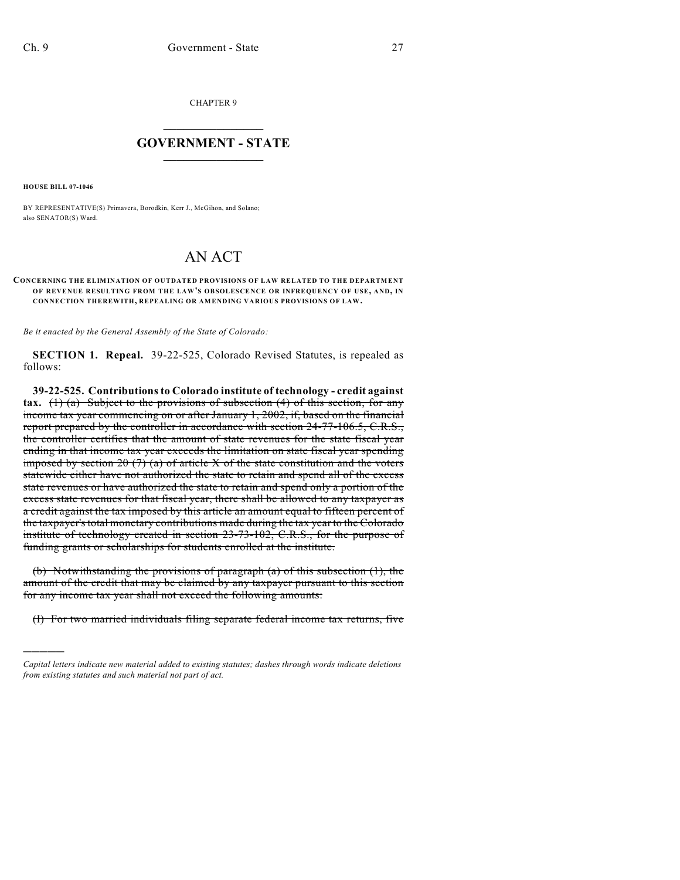CHAPTER 9

## $\mathcal{L}_\text{max}$  . The set of the set of the set of the set of the set of the set of the set of the set of the set of the set of the set of the set of the set of the set of the set of the set of the set of the set of the set **GOVERNMENT - STATE**  $\_$   $\_$

**HOUSE BILL 07-1046**

)))))

BY REPRESENTATIVE(S) Primavera, Borodkin, Kerr J., McGihon, and Solano; also SENATOR(S) Ward.

## AN ACT

## **CONCERNING THE ELIMINATION OF OUTDATED PROVISIONS OF LAW RELATED TO THE DEPARTMENT OF REVENUE RESULTING FROM THE LAW'S OBSOLESCENCE OR INFREQUENCY OF USE, AND, IN CONNECTION THEREWITH, REPEALING OR AMENDING VARIOUS PROVISIONS OF LAW.**

*Be it enacted by the General Assembly of the State of Colorado:*

**SECTION 1. Repeal.** 39-22-525, Colorado Revised Statutes, is repealed as follows:

**39-22-525. Contributions to Colorado institute of technology - credit against tax.** (1) (a) Subject to the provisions of subsection (4) of this section, for any income tax year commencing on or after January 1, 2002, if, based on the financial report prepared by the controller in accordance with section 24-77-106.5, C.R.S., the controller certifies that the amount of state revenues for the state fiscal year ending in that income tax year exceeds the limitation on state fiscal year spending imposed by section 20  $(7)$  (a) of article X of the state constitution and the voters statewide either have not authorized the state to retain and spend all of the excess state revenues or have authorized the state to retain and spend only a portion of the excess state revenues for that fiscal year, there shall be allowed to any taxpayer as a credit against the tax imposed by this article an amount equal to fifteen percent of the taxpayer's total monetary contributions made during the tax year to the Colorado institute of technology created in section 23-73-102, C.R.S., for the purpose of funding grants or scholarships for students enrolled at the institute.

(b) Notwithstanding the provisions of paragraph (a) of this subsection  $(1)$ , the amount of the credit that may be claimed by any taxpayer pursuant to this section for any income tax year shall not exceed the following amounts:

(I) For two married individuals filing separate federal income tax returns, five

*Capital letters indicate new material added to existing statutes; dashes through words indicate deletions from existing statutes and such material not part of act.*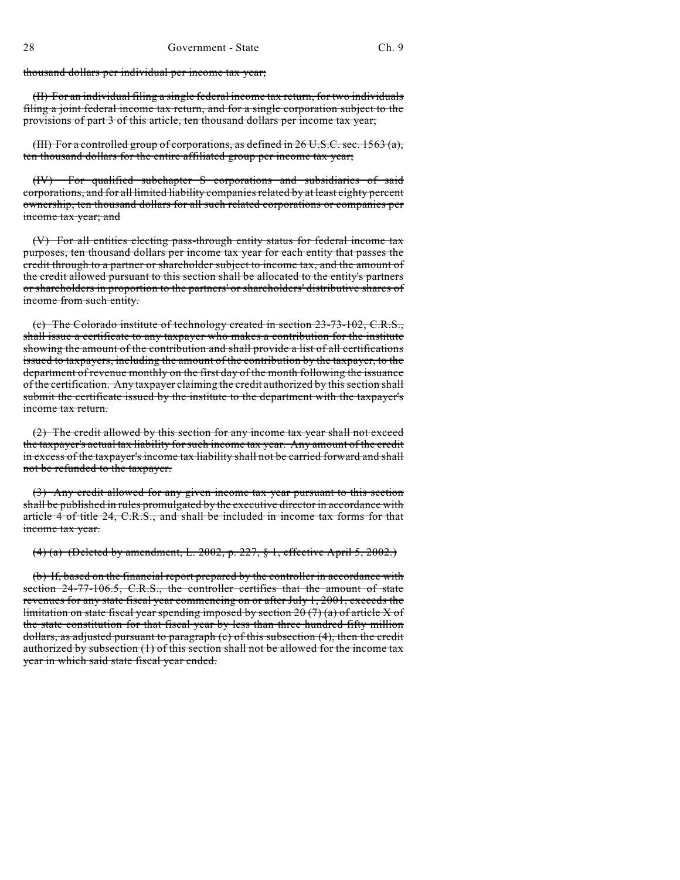thousand dollars per individual per income tax year;

(II) For an individual filing a single federal income tax return, for two individuals filing a joint federal income tax return, and for a single corporation subject to the provisions of part 3 of this article, ten thousand dollars per income tax year;

(III) For a controlled group of corporations, as defined in 26 U.S.C. sec. 1563 (a), ten thousand dollars for the entire affiliated group per income tax year;

(IV) For qualified subchapter S corporations and subsidiaries of said corporations, and for all limited liability companies related by at least eighty percent ownership, ten thousand dollars for all such related corporations or companies per income tax year; and

(V) For all entities electing pass-through entity status for federal income tax purposes, ten thousand dollars per income tax year for each entity that passes the credit through to a partner or shareholder subject to income tax, and the amount of the credit allowed pursuant to this section shall be allocated to the entity's partners or shareholders in proportion to the partners' or shareholders' distributive shares of income from such entity.

(c) The Colorado institute of technology created in section 23-73-102, C.R.S., shall issue a certificate to any taxpayer who makes a contribution for the institute showing the amount of the contribution and shall provide a list of all certifications issued to taxpayers, including the amount of the contribution by the taxpayer, to the department of revenue monthly on the first day of the month following the issuance of the certification. Any taxpayer claiming the credit authorized by this section shall submit the certificate issued by the institute to the department with the taxpayer's income tax return.

(2) The credit allowed by this section for any income tax year shall not exceed the taxpayer's actual tax liability for such income tax year. Any amount of the credit in excess of the taxpayer's income tax liability shall not be carried forward and shall not be refunded to the taxpayer.

(3) Any credit allowed for any given income tax year pursuant to this section shall be published in rules promulgated by the executive director in accordance with article 4 of title 24, C.R.S., and shall be included in income tax forms for that income tax year.

(4) (a) (Deleted by amendment, L. 2002, p. 227, § 1, effective April 5, 2002.)

(b) If, based on the financial report prepared by the controller in accordance with section 24-77-106.5, C.R.S., the controller certifies that the amount of state revenues for any state fiscal year commencing on or after July 1, 2001, exceeds the limitation on state fiscal year spending imposed by section 20  $(7)$  (a) of article X of the state constitution for that fiscal year by less than three hundred fifty million dollars, as adjusted pursuant to paragraph (c) of this subsection (4), then the credit authorized by subsection (1) of this section shall not be allowed for the income tax year in which said state fiscal year ended.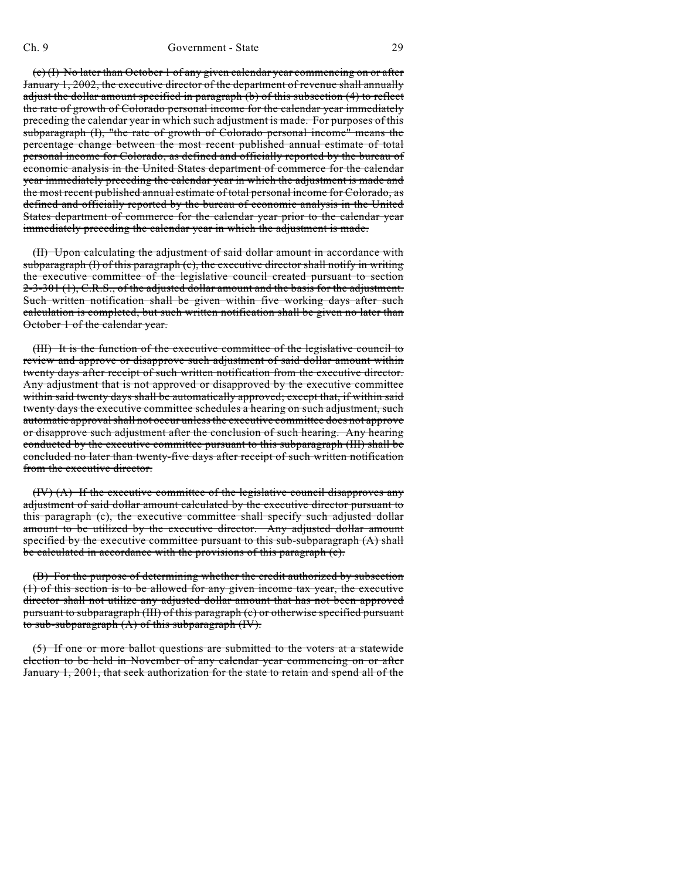(c) (I) No later than October 1 of any given calendar year commencing on or after January 1, 2002, the executive director of the department of revenue shall annually adjust the dollar amount specified in paragraph (b) of this subsection (4) to reflect the rate of growth of Colorado personal income for the calendar year immediately preceding the calendar year in which such adjustment is made. For purposes of this subparagraph (I), "the rate of growth of Colorado personal income" means the percentage change between the most recent published annual estimate of total personal income for Colorado, as defined and officially reported by the bureau of economic analysis in the United States department of commerce for the calendar year immediately preceding the calendar year in which the adjustment is made and the most recent published annual estimate of total personal income for Colorado, as defined and officially reported by the bureau of economic analysis in the United States department of commerce for the calendar year prior to the calendar year immediately preceding the calendar year in which the adjustment is made.

(II) Upon calculating the adjustment of said dollar amount in accordance with subparagraph (I) of this paragraph (c), the executive director shall notify in writing the executive committee of the legislative council created pursuant to section 2-3-301 (1), C.R.S., of the adjusted dollar amount and the basis for the adjustment. Such written notification shall be given within five working days after such calculation is completed, but such written notification shall be given no later than October 1 of the calendar year.

(III) It is the function of the executive committee of the legislative council to review and approve or disapprove such adjustment of said dollar amount within twenty days after receipt of such written notification from the executive director. Any adjustment that is not approved or disapproved by the executive committee within said twenty days shall be automatically approved; except that, if within said twenty days the executive committee schedules a hearing on such adjustment, such automatic approval shall not occur unless the executive committee does not approve or disapprove such adjustment after the conclusion of such hearing. Any hearing conducted by the executive committee pursuant to this subparagraph (III) shall be concluded no later than twenty-five days after receipt of such written notification from the executive director.

(IV) (A) If the executive committee of the legislative council disapproves any adjustment of said dollar amount calculated by the executive director pursuant to this paragraph (c), the executive committee shall specify such adjusted dollar amount to be utilized by the executive director. Any adjusted dollar amount specified by the executive committee pursuant to this sub-subparagraph (A) shall be calculated in accordance with the provisions of this paragraph (c).

(B) For the purpose of determining whether the credit authorized by subsection (1) of this section is to be allowed for any given income tax year, the executive director shall not utilize any adjusted dollar amount that has not been approved pursuant to subparagraph (III) of this paragraph (c) or otherwise specified pursuant to sub-subparagraph (A) of this subparagraph (IV).

(5) If one or more ballot questions are submitted to the voters at a statewide election to be held in November of any calendar year commencing on or after January 1, 2001, that seek authorization for the state to retain and spend all of the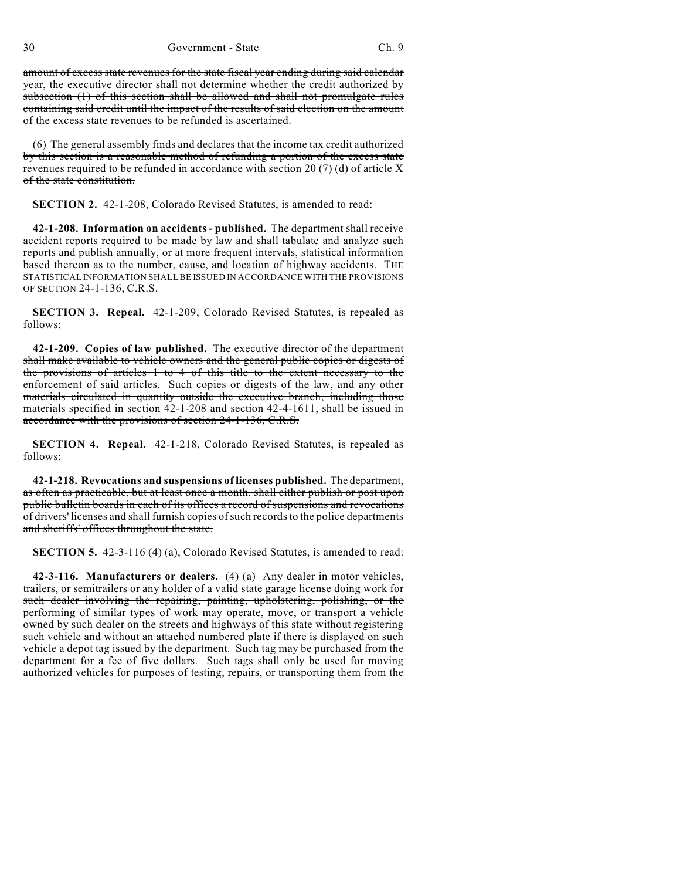amount of excess state revenues for the state fiscal year ending during said calendar year, the executive director shall not determine whether the credit authorized by subsection (1) of this section shall be allowed and shall not promulgate rules containing said credit until the impact of the results of said election on the amount of the excess state revenues to be refunded is ascertained.

(6) The general assembly finds and declares that the income tax credit authorized by this section is a reasonable method of refunding a portion of the excess state revenues required to be refunded in accordance with section 20 (7) (d) of article X of the state constitution.

**SECTION 2.** 42-1-208, Colorado Revised Statutes, is amended to read:

**42-1-208. Information on accidents - published.** The department shall receive accident reports required to be made by law and shall tabulate and analyze such reports and publish annually, or at more frequent intervals, statistical information based thereon as to the number, cause, and location of highway accidents. THE STATISTICAL INFORMATION SHALL BE ISSUED IN ACCORDANCE WITH THE PROVISIONS OF SECTION 24-1-136, C.R.S.

**SECTION 3. Repeal.** 42-1-209, Colorado Revised Statutes, is repealed as follows:

**42-1-209. Copies of law published.** The executive director of the department shall make available to vehicle owners and the general public copies or digests of the provisions of articles 1 to 4 of this title to the extent necessary to the enforcement of said articles. Such copies or digests of the law, and any other materials circulated in quantity outside the executive branch, including those materials specified in section 42-1-208 and section 42-4-1611, shall be issued in accordance with the provisions of section 24-1-136, C.R.S.

**SECTION 4. Repeal.** 42-1-218, Colorado Revised Statutes, is repealed as follows:

**42-1-218. Revocations and suspensions of licenses published.** The department, as often as practicable, but at least once a month, shall either publish or post upon public bulletin boards in each of its offices a record of suspensions and revocations of drivers' licenses and shall furnish copies of such records to the police departments and sheriffs' offices throughout the state.

**SECTION 5.** 42-3-116 (4) (a), Colorado Revised Statutes, is amended to read:

**42-3-116. Manufacturers or dealers.** (4) (a) Any dealer in motor vehicles, trailers, or semitrailers or any holder of a valid state garage license doing work for such dealer involving the repairing, painting, upholstering, polishing, or the performing of similar types of work may operate, move, or transport a vehicle owned by such dealer on the streets and highways of this state without registering such vehicle and without an attached numbered plate if there is displayed on such vehicle a depot tag issued by the department. Such tag may be purchased from the department for a fee of five dollars. Such tags shall only be used for moving authorized vehicles for purposes of testing, repairs, or transporting them from the